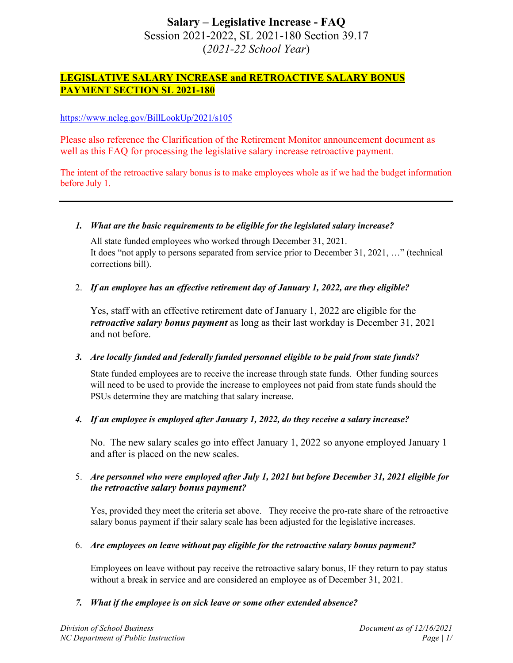# **LEGISLATIVE SALARY INCREASE and RETROACTIVE SALARY BONUS PAYMENT SECTION SL 2021-180**

## <https://www.ncleg.gov/BillLookUp/2021/s105>

Please also reference the Clarification of the Retirement Monitor announcement document as well as this FAQ for processing the legislative salary increase retroactive payment.

The intent of the retroactive salary bonus is to make employees whole as if we had the budget information before July 1.

#### *1. What are the basic requirements to be eligible for the legislated salary increase?*

All state funded employees who worked through December 31, 2021. It does "not apply to persons separated from service prior to December 31, 2021, …" (technical corrections bill).

## 2. *If an employee has an effective retirement day of January 1, 2022, are they eligible?*

Yes, staff with an effective retirement date of January 1, 2022 are eligible for the *retroactive salary bonus payment* as long as their last workday is December 31, 2021 and not before.

## *3. Are locally funded and federally funded personnel eligible to be paid from state funds?*

State funded employees are to receive the increase through state funds. Other funding sources will need to be used to provide the increase to employees not paid from state funds should the PSUs determine they are matching that salary increase.

#### *4. If an employee is employed after January 1, 2022, do they receive a salary increase?*

No. The new salary scales go into effect January 1, 2022 so anyone employed January 1 and after is placed on the new scales.

## 5. *Are personnel who were employed after July 1, 2021 but before December 31, 2021 eligible for the retroactive salary bonus payment?*

Yes, provided they meet the criteria set above. They receive the pro-rate share of the retroactive salary bonus payment if their salary scale has been adjusted for the legislative increases.

#### 6. *Are employees on leave without pay eligible for the retroactive salary bonus payment?*

Employees on leave without pay receive the retroactive salary bonus, IF they return to pay status without a break in service and are considered an employee as of December 31, 2021.

## *7. What if the employee is on sick leave or some other extended absence?*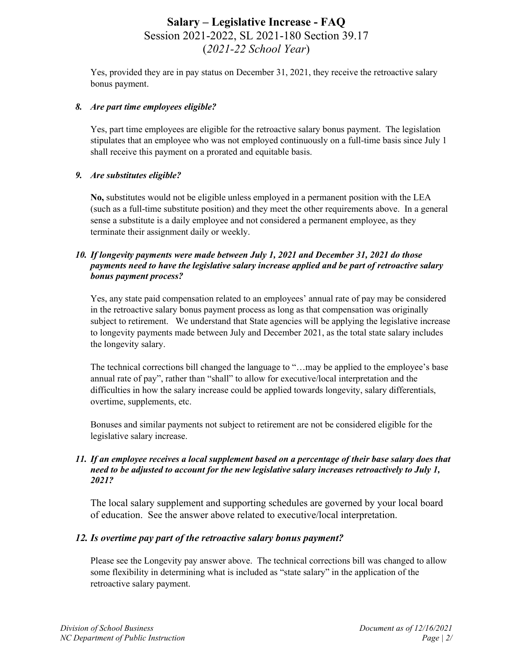Yes, provided they are in pay status on December 31, 2021, they receive the retroactive salary bonus payment.

### *8. Are part time employees eligible?*

Yes, part time employees are eligible for the retroactive salary bonus payment. The legislation stipulates that an employee who was not employed continuously on a full-time basis since July 1 shall receive this payment on a prorated and equitable basis.

## *9. Are substitutes eligible?*

**No,** substitutes would not be eligible unless employed in a permanent position with the LEA (such as a full-time substitute position) and they meet the other requirements above. In a general sense a substitute is a daily employee and not considered a permanent employee, as they terminate their assignment daily or weekly.

#### *10. If longevity payments were made between July 1, 2021 and December 31, 2021 do those payments need to have the legislative salary increase applied and be part of retroactive salary bonus payment process?*

Yes, any state paid compensation related to an employees' annual rate of pay may be considered in the retroactive salary bonus payment process as long as that compensation was originally subject to retirement. We understand that State agencies will be applying the legislative increase to longevity payments made between July and December 2021, as the total state salary includes the longevity salary.

The technical corrections bill changed the language to "…may be applied to the employee's base annual rate of pay", rather than "shall" to allow for executive/local interpretation and the difficulties in how the salary increase could be applied towards longevity, salary differentials, overtime, supplements, etc.

Bonuses and similar payments not subject to retirement are not be considered eligible for the legislative salary increase.

#### *11. If an employee receives a local supplement based on a percentage of their base salary does that need to be adjusted to account for the new legislative salary increases retroactively to July 1, 2021?*

The local salary supplement and supporting schedules are governed by your local board of education. See the answer above related to executive/local interpretation.

## *12. Is overtime pay part of the retroactive salary bonus payment?*

Please see the Longevity pay answer above. The technical corrections bill was changed to allow some flexibility in determining what is included as "state salary" in the application of the retroactive salary payment.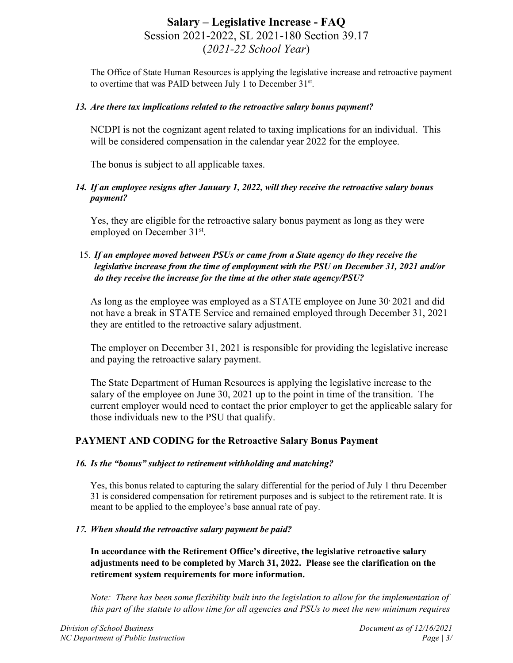The Office of State Human Resources is applying the legislative increase and retroactive payment to overtime that was PAID between July 1 to December 31<sup>st</sup>.

#### *13. Are there tax implications related to the retroactive salary bonus payment?*

NCDPI is not the cognizant agent related to taxing implications for an individual. This will be considered compensation in the calendar year 2022 for the employee.

The bonus is subject to all applicable taxes.

### *14. If an employee resigns after January 1, 2022, will they receive the retroactive salary bonus payment?*

Yes, they are eligible for the retroactive salary bonus payment as long as they were employed on December 31<sup>st</sup>.

## 15. *If an employee moved between PSUs or came from a State agency do they receive the legislative increase from the time of employment with the PSU on December 31, 2021 and/or do they receive the increase for the time at the other state agency/PSU?*

As long as the employee was employed as a STATE employee on June 30, 2021 and did not have a break in STATE Service and remained employed through December 31, 2021 they are entitled to the retroactive salary adjustment.

The employer on December 31, 2021 is responsible for providing the legislative increase and paying the retroactive salary payment.

The State Department of Human Resources is applying the legislative increase to the salary of the employee on June 30, 2021 up to the point in time of the transition. The current employer would need to contact the prior employer to get the applicable salary for those individuals new to the PSU that qualify.

## **PAYMENT AND CODING for the Retroactive Salary Bonus Payment**

## *16. Is the "bonus" subject to retirement withholding and matching?*

Yes, this bonus related to capturing the salary differential for the period of July 1 thru December 31 is considered compensation for retirement purposes and is subject to the retirement rate. It is meant to be applied to the employee's base annual rate of pay.

## *17. When should the retroactive salary payment be paid?*

**In accordance with the Retirement Office's directive, the legislative retroactive salary adjustments need to be completed by March 31, 2022. Please see the clarification on the retirement system requirements for more information.**

*Note: There has been some flexibility built into the legislation to allow for the implementation of this part of the statute to allow time for all agencies and PSUs to meet the new minimum requires*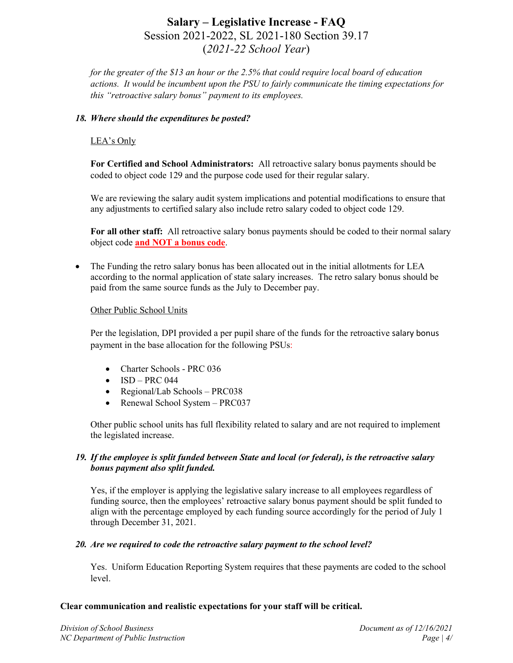*for the greater of the \$13 an hour or the 2.5% that could require local board of education actions. It would be incumbent upon the PSU to fairly communicate the timing expectations for this "retroactive salary bonus" payment to its employees.*

### *18. Where should the expenditures be posted?*

### LEA's Only

**For Certified and School Administrators:** All retroactive salary bonus payments should be coded to object code 129 and the purpose code used for their regular salary.

We are reviewing the salary audit system implications and potential modifications to ensure that any adjustments to certified salary also include retro salary coded to object code 129.

**For all other staff:** All retroactive salary bonus payments should be coded to their normal salary object code **and NOT a bonus code**.

• The Funding the retro salary bonus has been allocated out in the initial allotments for LEA according to the normal application of state salary increases. The retro salary bonus should be paid from the same source funds as the July to December pay.

#### Other Public School Units

Per the legislation, DPI provided a per pupil share of the funds for the retroactive salary bonus payment in the base allocation for the following PSUs:

- Charter Schools PRC 036
- $\bullet$  ISD PRC 044
- Regional/Lab Schools PRC038
- Renewal School System PRC037

Other public school units has full flexibility related to salary and are not required to implement the legislated increase.

#### *19. If the employee is split funded between State and local (or federal), is the retroactive salary bonus payment also split funded.*

Yes, if the employer is applying the legislative salary increase to all employees regardless of funding source, then the employees' retroactive salary bonus payment should be split funded to align with the percentage employed by each funding source accordingly for the period of July 1 through December 31, 2021.

#### *20. Are we required to code the retroactive salary payment to the school level?*

Yes. Uniform Education Reporting System requires that these payments are coded to the school level.

#### **Clear communication and realistic expectations for your staff will be critical.**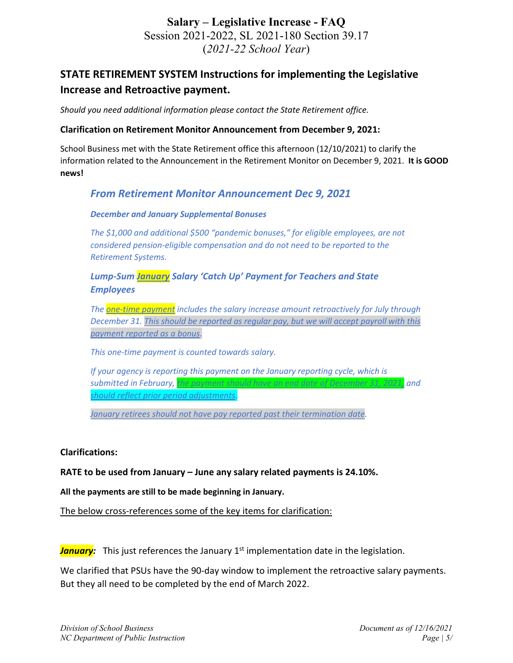# **STATE RETIREMENT SYSTEM Instructions for implementing the Legislative Increase and Retroactive payment.**

*Should you need additional information please contact the State Retirement office.*

## **Clarification on Retirement Monitor Announcement from December 9, 2021:**

School Business met with the State Retirement office this afternoon (12/10/2021) to clarify the information related to the Announcement in the Retirement Monitor on December 9, 2021. **It is GOOD news!**

## *From Retirement Monitor Announcement Dec 9, 2021*

#### *December and January Supplemental Bonuses*

*The \$1,000 and additional \$500 "pandemic bonuses," for eligible employees, are not considered pension-eligible compensation and do not need to be reported to the Retirement Systems.* 

## *Lump-Sum January Salary 'Catch Up' Payment for Teachers and State Employees*

*The one-time payment includes the salary increase amount retroactively for July through December 31. This should be reported as regular pay, but we will accept payroll with this payment reported as a bonus.*

*This one-time payment is counted towards salary.*

*If your agency is reporting this payment on the January reporting cycle, which is submitted in February, the payment should have an end date of December 31, 2021, and should reflect prior period adjustments.*

*January retirees should not have pay reported past their termination date.*

## **Clarifications:**

**RATE to be used from January – June any salary related payments is 24.10%.**

**All the payments are still to be made beginning in January.**

The below cross-references some of the key items for clarification:

January: This just references the January 1<sup>st</sup> implementation date in the legislation.

We clarified that PSUs have the 90-day window to implement the retroactive salary payments. But they all need to be completed by the end of March 2022.